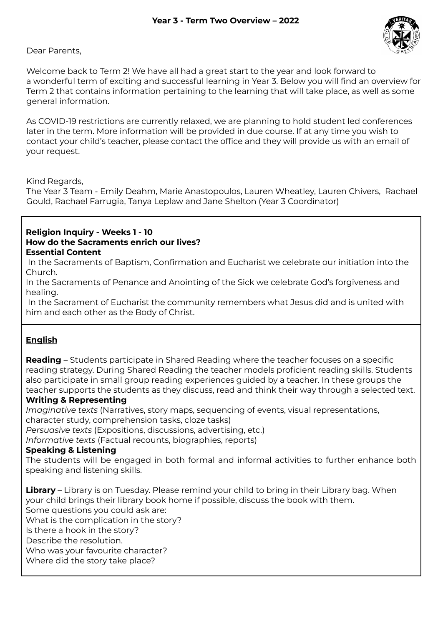Dear Parents,

Welcome back to Term 2! We have all had a great start to the year and look forward to a wonderful term of exciting and successful learning in Year 3. Below you will find an overview for Term 2 that contains information pertaining to the learning that will take place, as well as some general information.

As COVID-19 restrictions are currently relaxed, we are planning to hold student led conferences later in the term. More information will be provided in due course. If at any time you wish to contact your child's teacher, please contact the office and they will provide us with an email of your request.

Kind Regards,

The Year 3 Team *-* Emily Deahm, Marie Anastopoulos, Lauren Wheatley, Lauren Chivers, Rachael Gould, Rachael Farrugia, Tanya Leplaw and Jane Shelton (Year 3 Coordinator)

### **Religion Inquiry - Weeks 1 - 10 How do the Sacraments enrich our lives? Essential Content**

In the Sacraments of Baptism, Confirmation and Eucharist we celebrate our initiation into the Church.

In the Sacraments of Penance and Anointing of the Sick we celebrate God's forgiveness and healing.

In the Sacrament of Eucharist the community remembers what Jesus did and is united with him and each other as the Body of Christ.

# **English**

**Reading** – Students participate in Shared Reading where the teacher focuses on a specific reading strategy. During Shared Reading the teacher models proficient reading skills. Students also participate in small group reading experiences guided by a teacher. In these groups the teacher supports the students as they discuss, read and think their way through a selected text.

# **Writing & Representing**

*Imaginative texts* (Narratives, story maps, sequencing of events, visual representations, character study, comprehension tasks, cloze tasks)

*Persuasive texts* (Expositions, discussions, advertising, etc.)

*Informative texts* (Factual recounts, biographies, reports)

# **Speaking & Listening**

The students will be engaged in both formal and informal activities to further enhance both speaking and listening skills.

**Library** – Library is on Tuesday. Please remind your child to bring in their Library bag. When your child brings their library book home if possible, discuss the book with them. Some questions you could ask are: What is the complication in the story? Is there a hook in the story? Describe the resolution. Who was your favourite character? Where did the story take place?

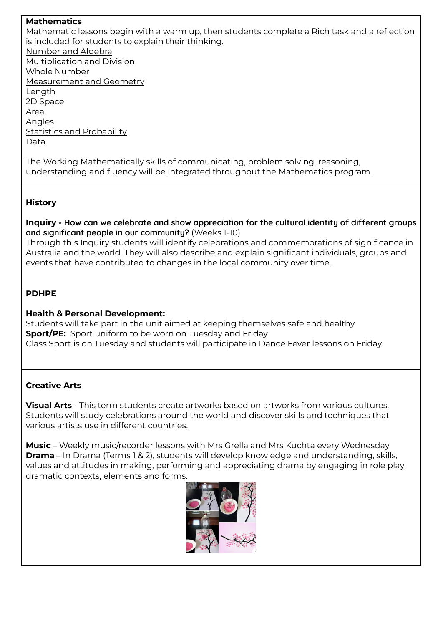**Mathematics**

Mathematic lessons begin with a warm up, then students complete a Rich task and a reflection is included for students to explain their thinking. Number and Algebra Multiplication and Division Whole Number Measurement and Geometry Length 2D Space Area Angles **Statistics and Probability** Data

The Working Mathematically skills of communicating, problem solving, reasoning, understanding and fluency will be integrated throughout the Mathematics program.

# **History**

**Inquiry - How can we celebrate and show appreciation for the cultural identity of different groups and significant people in our community?** (Weeks 1-10)

Through this Inquiry students will identify celebrations and commemorations of significance in Australia and the world. They will also describe and explain significant individuals, groups and events that have contributed to changes in the local community over time.

## **PDHPE**

### **Health & Personal Development:**

Students will take part in the unit aimed at keeping themselves safe and healthy **Sport/PE:** Sport uniform to be worn on Tuesday and Friday Class Sport is on Tuesday and students will participate in Dance Fever lessons on Friday.

# **Creative Arts**

**Visual Arts** - This term students create artworks based on artworks from various cultures. Students will study celebrations around the world and discover skills and techniques that various artists use in different countries.

**Music** – Weekly music/recorder lessons with Mrs Grella and Mrs Kuchta every Wednesday. **Drama** – In Drama (Terms 1 & 2), students will develop knowledge and understanding, skills, values and attitudes in making, performing and appreciating drama by engaging in role play, dramatic contexts, elements and forms.